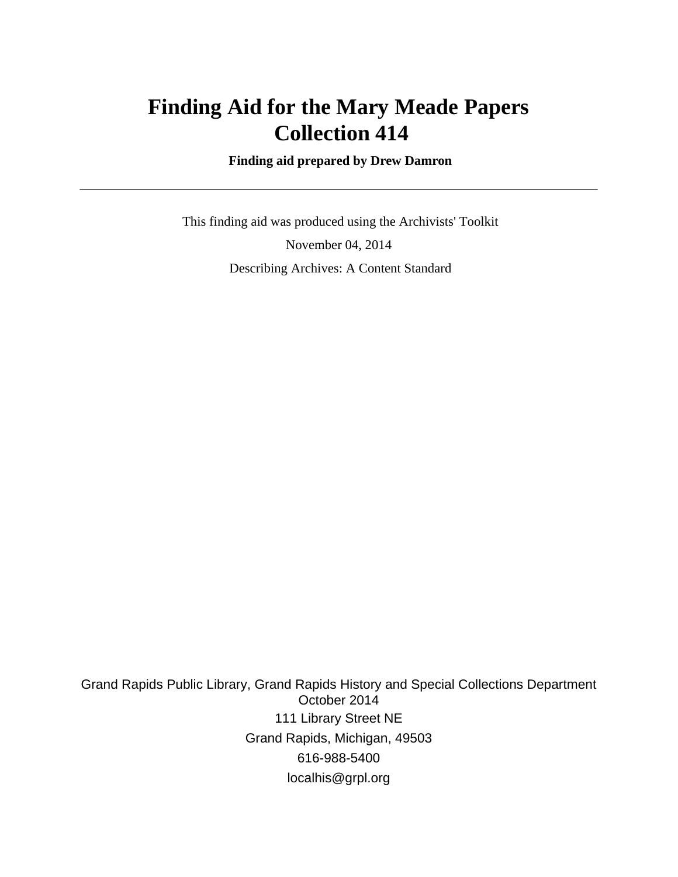# **Finding Aid for the Mary Meade Papers Collection 414**

 **Finding aid prepared by Drew Damron**

 This finding aid was produced using the Archivists' Toolkit November 04, 2014 Describing Archives: A Content Standard

Grand Rapids Public Library, Grand Rapids History and Special Collections Department October 2014 111 Library Street NE Grand Rapids, Michigan, 49503 616-988-5400 localhis@grpl.org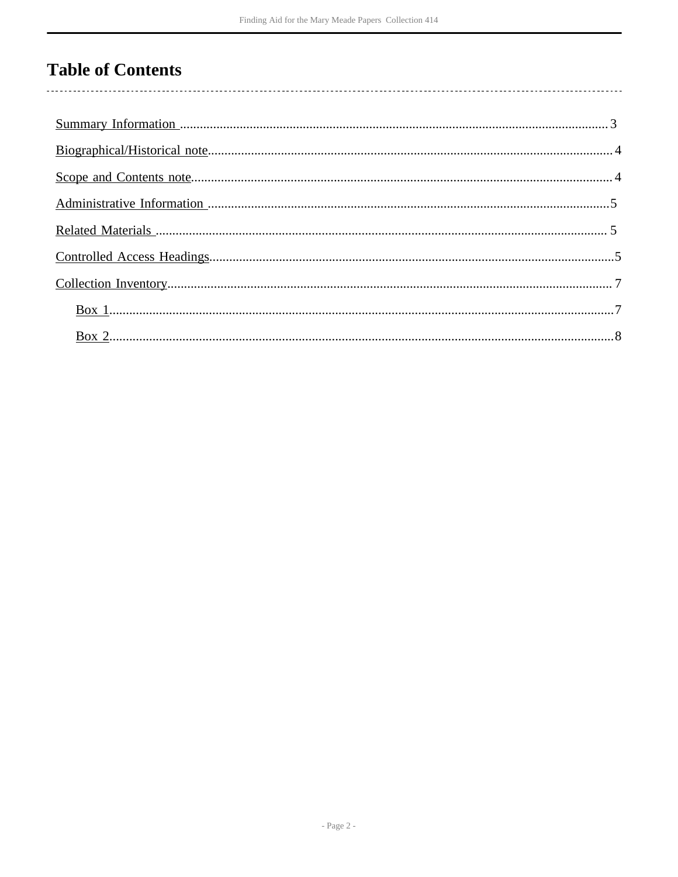# **Table of Contents**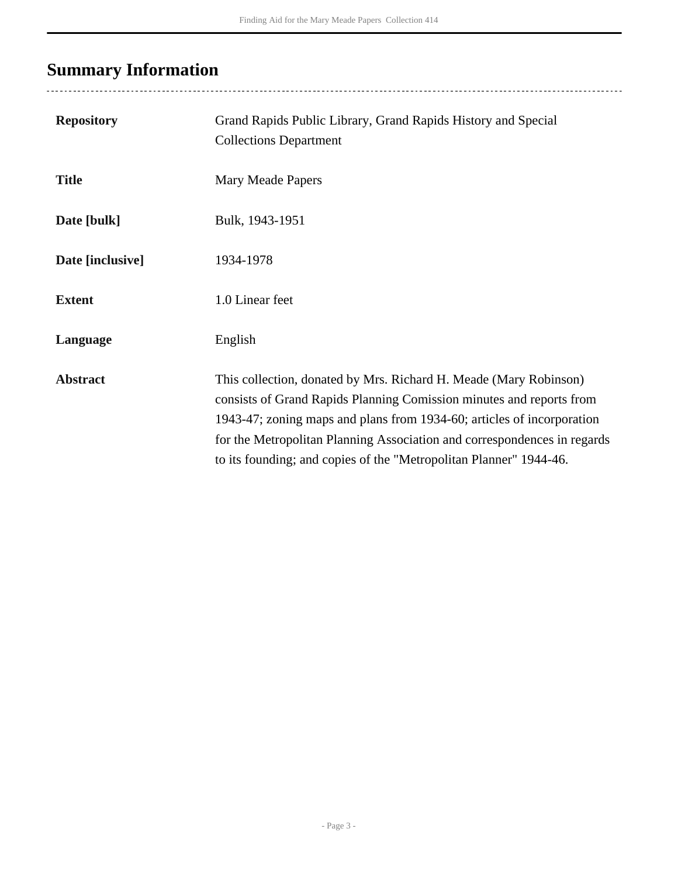# <span id="page-2-0"></span>**Summary Information**

| <b>Repository</b> | Grand Rapids Public Library, Grand Rapids History and Special<br><b>Collections Department</b>                                                                                                                                                                                                                                                                        |
|-------------------|-----------------------------------------------------------------------------------------------------------------------------------------------------------------------------------------------------------------------------------------------------------------------------------------------------------------------------------------------------------------------|
| <b>Title</b>      | Mary Meade Papers                                                                                                                                                                                                                                                                                                                                                     |
| Date [bulk]       | Bulk, 1943-1951                                                                                                                                                                                                                                                                                                                                                       |
| Date [inclusive]  | 1934-1978                                                                                                                                                                                                                                                                                                                                                             |
| <b>Extent</b>     | 1.0 Linear feet                                                                                                                                                                                                                                                                                                                                                       |
| Language          | English                                                                                                                                                                                                                                                                                                                                                               |
| <b>Abstract</b>   | This collection, donated by Mrs. Richard H. Meade (Mary Robinson)<br>consists of Grand Rapids Planning Comission minutes and reports from<br>1943-47; zoning maps and plans from 1934-60; articles of incorporation<br>for the Metropolitan Planning Association and correspondences in regards<br>to its founding; and copies of the "Metropolitan Planner" 1944-46. |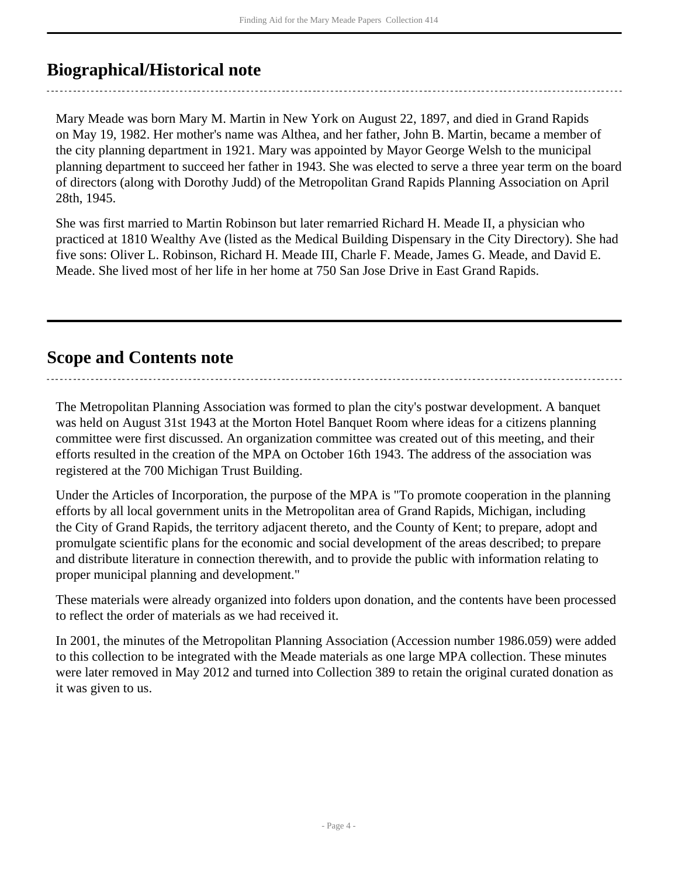## <span id="page-3-0"></span>**Biographical/Historical note**

Mary Meade was born Mary M. Martin in New York on August 22, 1897, and died in Grand Rapids on May 19, 1982. Her mother's name was Althea, and her father, John B. Martin, became a member of the city planning department in 1921. Mary was appointed by Mayor George Welsh to the municipal planning department to succeed her father in 1943. She was elected to serve a three year term on the board of directors (along with Dorothy Judd) of the Metropolitan Grand Rapids Planning Association on April 28th, 1945.

She was first married to Martin Robinson but later remarried Richard H. Meade II, a physician who practiced at 1810 Wealthy Ave (listed as the Medical Building Dispensary in the City Directory). She had five sons: Oliver L. Robinson, Richard H. Meade III, Charle F. Meade, James G. Meade, and David E. Meade. She lived most of her life in her home at 750 San Jose Drive in East Grand Rapids.

### <span id="page-3-1"></span>**Scope and Contents note**

The Metropolitan Planning Association was formed to plan the city's postwar development. A banquet was held on August 31st 1943 at the Morton Hotel Banquet Room where ideas for a citizens planning committee were first discussed. An organization committee was created out of this meeting, and their efforts resulted in the creation of the MPA on October 16th 1943. The address of the association was registered at the 700 Michigan Trust Building.

Under the Articles of Incorporation, the purpose of the MPA is "To promote cooperation in the planning efforts by all local government units in the Metropolitan area of Grand Rapids, Michigan, including the City of Grand Rapids, the territory adjacent thereto, and the County of Kent; to prepare, adopt and promulgate scientific plans for the economic and social development of the areas described; to prepare and distribute literature in connection therewith, and to provide the public with information relating to proper municipal planning and development."

These materials were already organized into folders upon donation, and the contents have been processed to reflect the order of materials as we had received it.

In 2001, the minutes of the Metropolitan Planning Association (Accession number 1986.059) were added to this collection to be integrated with the Meade materials as one large MPA collection. These minutes were later removed in May 2012 and turned into Collection 389 to retain the original curated donation as it was given to us.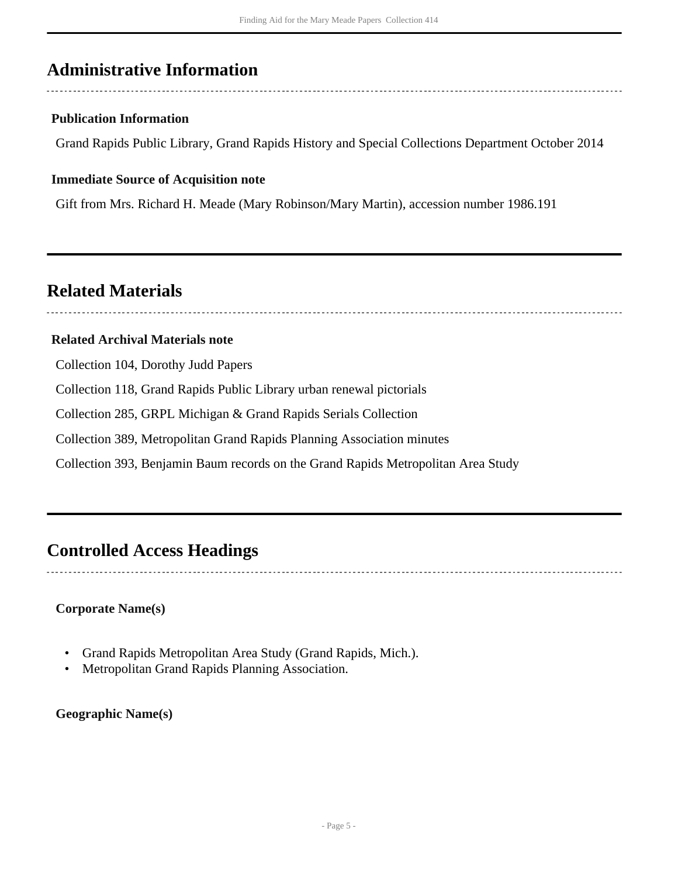### <span id="page-4-0"></span>**Administrative Information**

### **Publication Information**

Grand Rapids Public Library, Grand Rapids History and Special Collections Department October 2014

#### **Immediate Source of Acquisition note**

Gift from Mrs. Richard H. Meade (Mary Robinson/Mary Martin), accession number 1986.191

### <span id="page-4-1"></span>**Related Materials**

#### **Related Archival Materials note**

Collection 104, Dorothy Judd Papers

Collection 118, Grand Rapids Public Library urban renewal pictorials

Collection 285, GRPL Michigan & Grand Rapids Serials Collection

Collection 389, Metropolitan Grand Rapids Planning Association minutes

Collection 393, Benjamin Baum records on the Grand Rapids Metropolitan Area Study

### <span id="page-4-2"></span>**Controlled Access Headings**

### **Corporate Name(s)**

- Grand Rapids Metropolitan Area Study (Grand Rapids, Mich.).
- Metropolitan Grand Rapids Planning Association.

**Geographic Name(s)**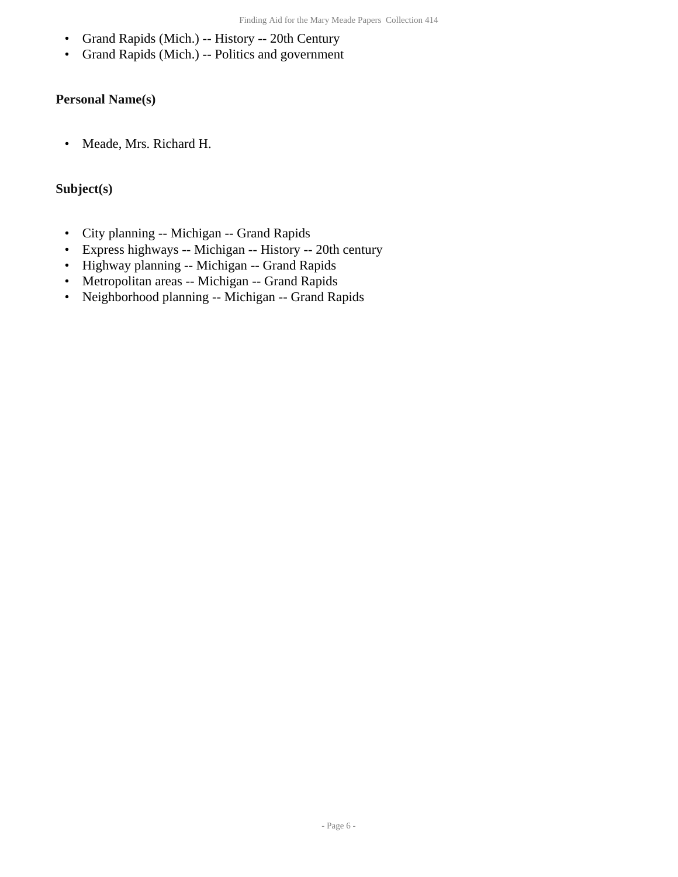- Grand Rapids (Mich.) -- History -- 20th Century
- Grand Rapids (Mich.) -- Politics and government

#### **Personal Name(s)**

• Meade, Mrs. Richard H.

#### **Subject(s)**

- City planning -- Michigan -- Grand Rapids
- Express highways -- Michigan -- History -- 20th century
- Highway planning -- Michigan -- Grand Rapids
- Metropolitan areas -- Michigan -- Grand Rapids
- Neighborhood planning -- Michigan -- Grand Rapids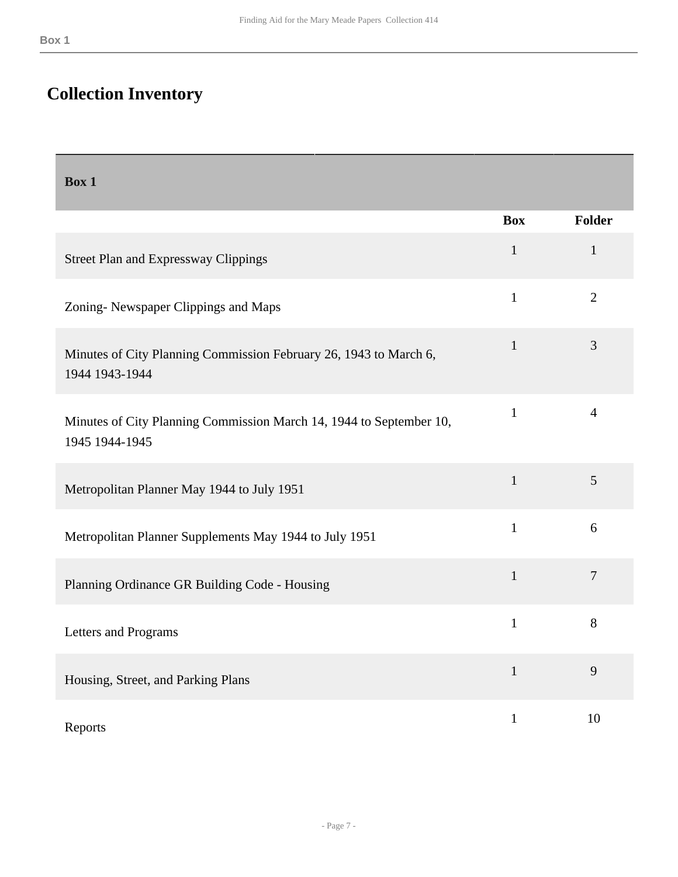## <span id="page-6-0"></span>**Collection Inventory**

<span id="page-6-1"></span>

| Box 1                                                                                 |              |                |
|---------------------------------------------------------------------------------------|--------------|----------------|
|                                                                                       | <b>Box</b>   | Folder         |
| <b>Street Plan and Expressway Clippings</b>                                           | $\mathbf{1}$ | $\mathbf{1}$   |
| Zoning-Newspaper Clippings and Maps                                                   | $\mathbf{1}$ | $\overline{2}$ |
| Minutes of City Planning Commission February 26, 1943 to March 6,<br>1944 1943-1944   | $\mathbf{1}$ | 3              |
| Minutes of City Planning Commission March 14, 1944 to September 10,<br>1945 1944-1945 | $\mathbf{1}$ | $\overline{4}$ |
| Metropolitan Planner May 1944 to July 1951                                            | $\mathbf{1}$ | 5              |
| Metropolitan Planner Supplements May 1944 to July 1951                                | $\mathbf{1}$ | 6              |
| Planning Ordinance GR Building Code - Housing                                         | $\mathbf{1}$ | $\overline{7}$ |
| Letters and Programs                                                                  | $\mathbf{1}$ | 8              |
| Housing, Street, and Parking Plans                                                    | $\mathbf{1}$ | 9              |
| Reports                                                                               | $\mathbf{1}$ | 10             |